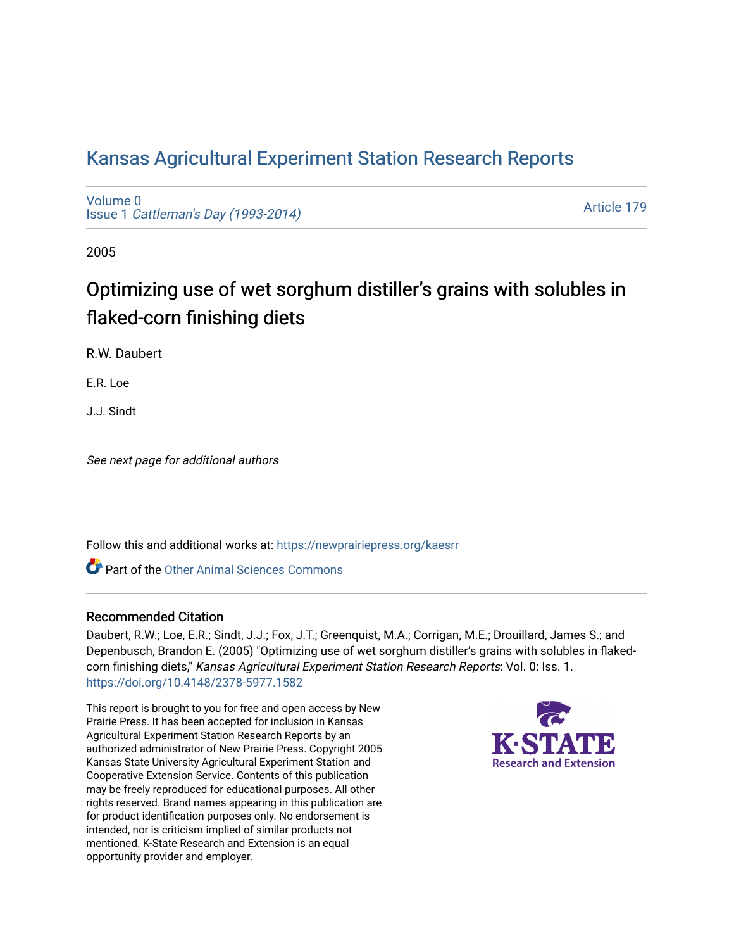# [Kansas Agricultural Experiment Station Research Reports](https://newprairiepress.org/kaesrr)

[Volume 0](https://newprairiepress.org/kaesrr/vol0) Issue 1 [Cattleman's Day \(1993-2014\)](https://newprairiepress.org/kaesrr/vol0/iss1) 

[Article 179](https://newprairiepress.org/kaesrr/vol0/iss1/179) 

2005

# Optimizing use of wet sorghum distiller's grains with solubles in flaked-corn finishing diets

R.W. Daubert

E.R. Loe

J.J. Sindt

See next page for additional authors

Follow this and additional works at: [https://newprairiepress.org/kaesrr](https://newprairiepress.org/kaesrr?utm_source=newprairiepress.org%2Fkaesrr%2Fvol0%2Fiss1%2F179&utm_medium=PDF&utm_campaign=PDFCoverPages) 

**C** Part of the [Other Animal Sciences Commons](http://network.bepress.com/hgg/discipline/82?utm_source=newprairiepress.org%2Fkaesrr%2Fvol0%2Fiss1%2F179&utm_medium=PDF&utm_campaign=PDFCoverPages)

#### Recommended Citation

Daubert, R.W.; Loe, E.R.; Sindt, J.J.; Fox, J.T.; Greenquist, M.A.; Corrigan, M.E.; Drouillard, James S.; and Depenbusch, Brandon E. (2005) "Optimizing use of wet sorghum distiller's grains with solubles in flakedcorn finishing diets," Kansas Agricultural Experiment Station Research Reports: Vol. 0: Iss. 1. <https://doi.org/10.4148/2378-5977.1582>

This report is brought to you for free and open access by New Prairie Press. It has been accepted for inclusion in Kansas Agricultural Experiment Station Research Reports by an authorized administrator of New Prairie Press. Copyright 2005 Kansas State University Agricultural Experiment Station and Cooperative Extension Service. Contents of this publication may be freely reproduced for educational purposes. All other rights reserved. Brand names appearing in this publication are for product identification purposes only. No endorsement is intended, nor is criticism implied of similar products not mentioned. K-State Research and Extension is an equal opportunity provider and employer.

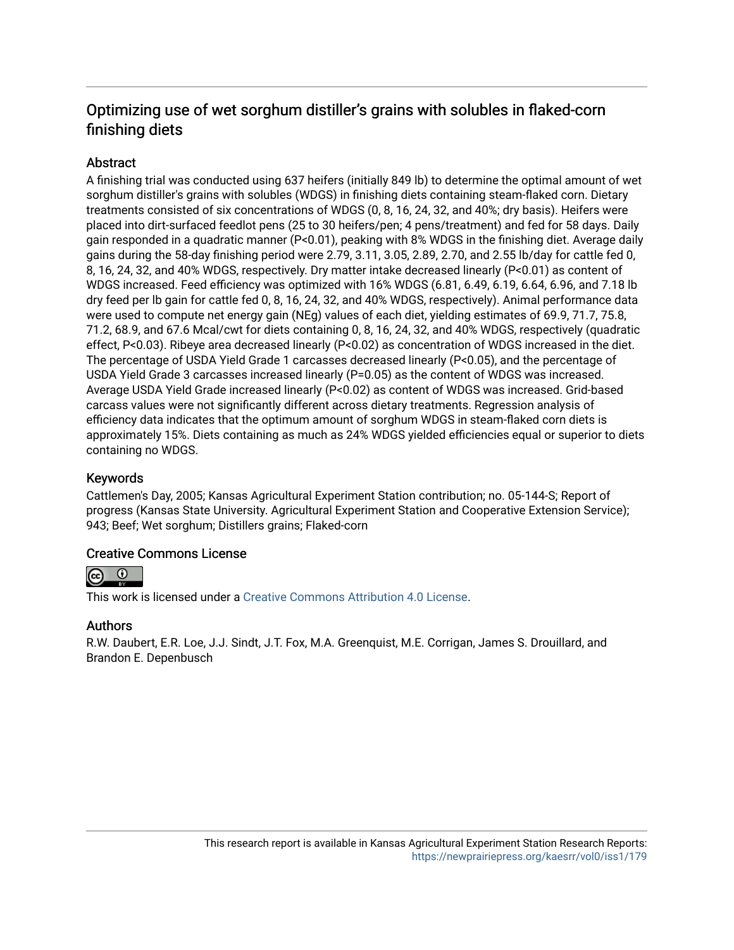## Optimizing use of wet sorghum distiller's grains with solubles in flaked-corn finishing diets

## **Abstract**

A finishing trial was conducted using 637 heifers (initially 849 lb) to determine the optimal amount of wet sorghum distiller's grains with solubles (WDGS) in finishing diets containing steam-flaked corn. Dietary treatments consisted of six concentrations of WDGS (0, 8, 16, 24, 32, and 40%; dry basis). Heifers were placed into dirt-surfaced feedlot pens (25 to 30 heifers/pen; 4 pens/treatment) and fed for 58 days. Daily gain responded in a quadratic manner (P<0.01), peaking with 8% WDGS in the finishing diet. Average daily gains during the 58-day finishing period were 2.79, 3.11, 3.05, 2.89, 2.70, and 2.55 lb/day for cattle fed 0, 8, 16, 24, 32, and 40% WDGS, respectively. Dry matter intake decreased linearly (P<0.01) as content of WDGS increased. Feed efficiency was optimized with 16% WDGS (6.81, 6.49, 6.19, 6.64, 6.96, and 7.18 lb dry feed per lb gain for cattle fed 0, 8, 16, 24, 32, and 40% WDGS, respectively). Animal performance data were used to compute net energy gain (NEg) values of each diet, yielding estimates of 69.9, 71.7, 75.8, 71.2, 68.9, and 67.6 Mcal/cwt for diets containing 0, 8, 16, 24, 32, and 40% WDGS, respectively (quadratic effect, P<0.03). Ribeye area decreased linearly (P<0.02) as concentration of WDGS increased in the diet. The percentage of USDA Yield Grade 1 carcasses decreased linearly (P<0.05), and the percentage of USDA Yield Grade 3 carcasses increased linearly (P=0.05) as the content of WDGS was increased. Average USDA Yield Grade increased linearly (P<0.02) as content of WDGS was increased. Grid-based carcass values were not significantly different across dietary treatments. Regression analysis of efficiency data indicates that the optimum amount of sorghum WDGS in steam-flaked corn diets is approximately 15%. Diets containing as much as 24% WDGS yielded efficiencies equal or superior to diets containing no WDGS.

## Keywords

Cattlemen's Day, 2005; Kansas Agricultural Experiment Station contribution; no. 05-144-S; Report of progress (Kansas State University. Agricultural Experiment Station and Cooperative Extension Service); 943; Beef; Wet sorghum; Distillers grains; Flaked-corn

## Creative Commons License



This work is licensed under a [Creative Commons Attribution 4.0 License](https://creativecommons.org/licenses/by/4.0/).

#### Authors

R.W. Daubert, E.R. Loe, J.J. Sindt, J.T. Fox, M.A. Greenquist, M.E. Corrigan, James S. Drouillard, and Brandon E. Depenbusch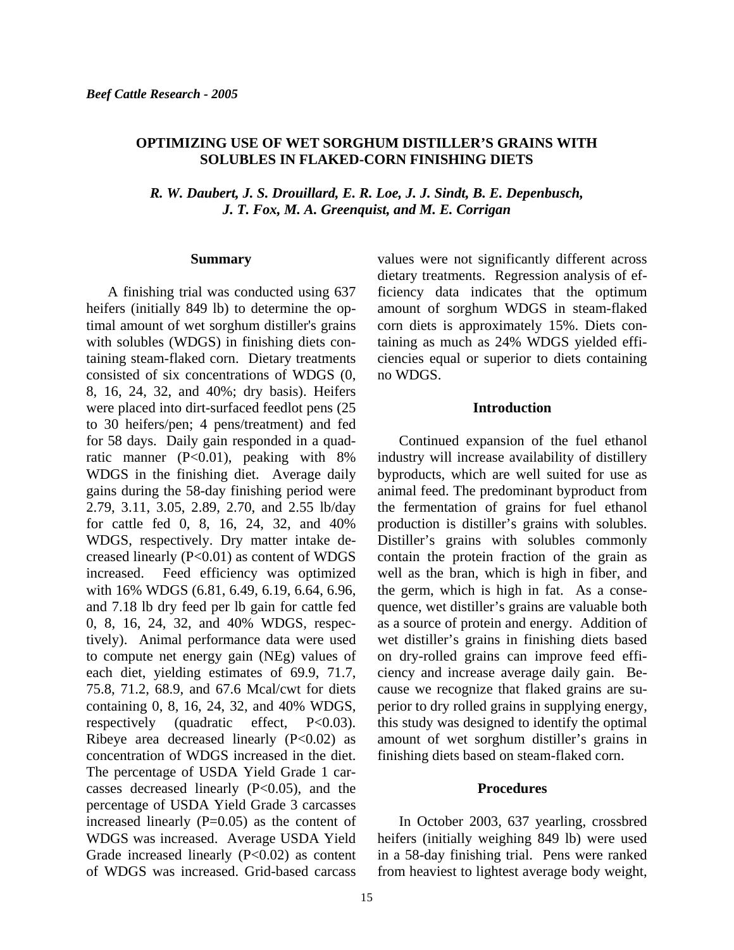#### **OPTIMIZING USE OF WET SORGHUM DISTILLER'S GRAINS WITH SOLUBLES IN FLAKED-CORN FINISHING DIETS**

*R. W. Daubert, J. S. Drouillard, E. R. Loe, J. J. Sindt, B. E. Depenbusch, J. T. Fox, M. A. Greenquist, and M. E. Corrigan* 

#### **Summary**

A finishing trial was conducted using 637 heifers (initially 849 lb) to determine the optimal amount of wet sorghum distiller's grains with solubles (WDGS) in finishing diets containing steam-flaked corn. Dietary treatments consisted of six concentrations of WDGS (0, 8, 16, 24, 32, and 40%; dry basis). Heifers were placed into dirt-surfaced feedlot pens (25 to 30 heifers/pen; 4 pens/treatment) and fed for 58 days. Daily gain responded in a quadratic manner (P<0.01), peaking with 8% WDGS in the finishing diet. Average daily gains during the 58-day finishing period were 2.79, 3.11, 3.05, 2.89, 2.70, and 2.55 lb/day for cattle fed 0, 8, 16, 24, 32, and 40% WDGS, respectively. Dry matter intake decreased linearly (P<0.01) as content of WDGS increased. Feed efficiency was optimized with 16% WDGS (6.81, 6.49, 6.19, 6.64, 6.96, and 7.18 lb dry feed per lb gain for cattle fed 0, 8, 16, 24, 32, and 40% WDGS, respectively). Animal performance data were used to compute net energy gain (NEg) values of each diet, yielding estimates of 69.9, 71.7, 75.8, 71.2, 68.9, and 67.6 Mcal/cwt for diets containing 0, 8, 16, 24, 32, and 40% WDGS, respectively (quadratic effect, P<0.03). Ribeye area decreased linearly  $(P<0.02)$  as concentration of WDGS increased in the diet. The percentage of USDA Yield Grade 1 carcasses decreased linearly (P<0.05), and the percentage of USDA Yield Grade 3 carcasses increased linearly  $(P=0.05)$  as the content of WDGS was increased. Average USDA Yield Grade increased linearly (P<0.02) as content of WDGS was increased. Grid-based carcass

values were not significantly different across dietary treatments. Regression analysis of efficiency data indicates that the optimum amount of sorghum WDGS in steam-flaked corn diets is approximately 15%. Diets containing as much as 24% WDGS yielded efficiencies equal or superior to diets containing no WDGS.

#### **Introduction**

Continued expansion of the fuel ethanol industry will increase availability of distillery byproducts, which are well suited for use as animal feed. The predominant byproduct from the fermentation of grains for fuel ethanol production is distiller's grains with solubles. Distiller's grains with solubles commonly contain the protein fraction of the grain as well as the bran, which is high in fiber, and the germ, which is high in fat. As a consequence, wet distiller's grains are valuable both as a source of protein and energy. Addition of wet distiller's grains in finishing diets based on dry-rolled grains can improve feed efficiency and increase average daily gain. Because we recognize that flaked grains are superior to dry rolled grains in supplying energy, this study was designed to identify the optimal amount of wet sorghum distiller's grains in finishing diets based on steam-flaked corn.

#### **Procedures**

In October 2003, 637 yearling, crossbred heifers (initially weighing 849 lb) were used in a 58-day finishing trial. Pens were ranked from heaviest to lightest average body weight,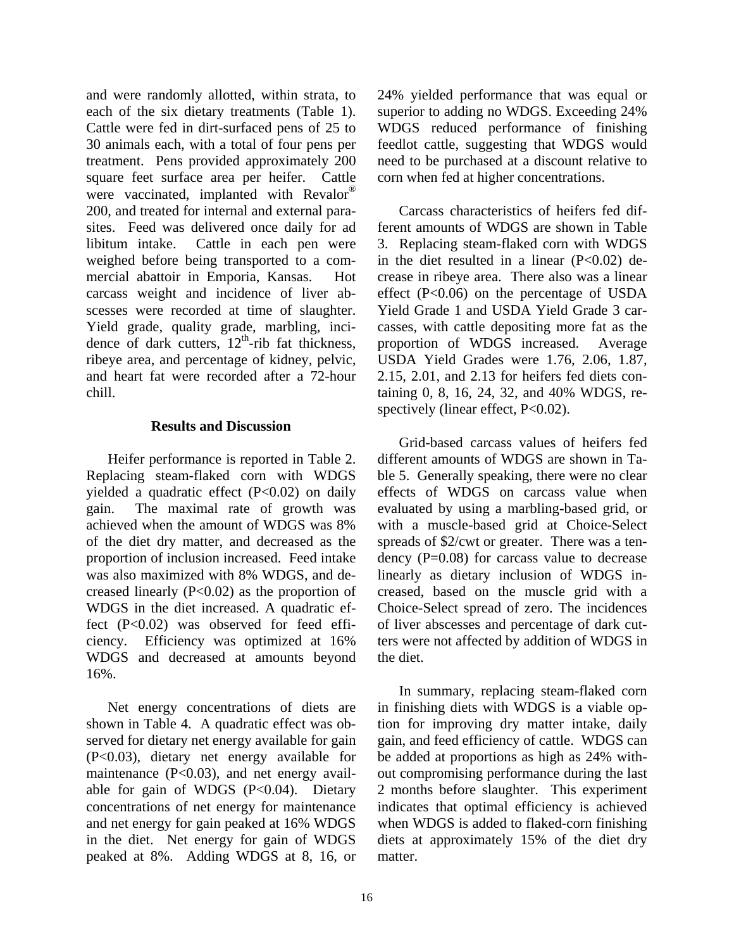and were randomly allotted, within strata, to each of the six dietary treatments (Table 1). Cattle were fed in dirt-surfaced pens of 25 to 30 animals each, with a total of four pens per treatment. Pens provided approximately 200 square feet surface area per heifer. Cattle were vaccinated, implanted with Revalor<sup>®</sup> 200, and treated for internal and external parasites. Feed was delivered once daily for ad libitum intake. Cattle in each pen were weighed before being transported to a commercial abattoir in Emporia, Kansas. Hot carcass weight and incidence of liver abscesses were recorded at time of slaughter. Yield grade, quality grade, marbling, incidence of dark cutters,  $12<sup>th</sup>$ -rib fat thickness, ribeye area, and percentage of kidney, pelvic, and heart fat were recorded after a 72-hour chill.

#### **Results and Discussion**

Heifer performance is reported in Table 2. Replacing steam-flaked corn with WDGS yielded a quadratic effect (P<0.02) on daily gain. The maximal rate of growth was achieved when the amount of WDGS was 8% of the diet dry matter, and decreased as the proportion of inclusion increased. Feed intake was also maximized with 8% WDGS, and decreased linearly  $(P<0.02)$  as the proportion of WDGS in the diet increased. A quadratic effect (P<0.02) was observed for feed efficiency. Efficiency was optimized at 16% WDGS and decreased at amounts beyond 16%.

Net energy concentrations of diets are shown in Table 4. A quadratic effect was observed for dietary net energy available for gain (P<0.03), dietary net energy available for maintenance (P<0.03), and net energy available for gain of WDGS (P<0.04). Dietary concentrations of net energy for maintenance and net energy for gain peaked at 16% WDGS in the diet. Net energy for gain of WDGS peaked at 8%. Adding WDGS at 8, 16, or

24% yielded performance that was equal or superior to adding no WDGS. Exceeding 24% WDGS reduced performance of finishing feedlot cattle, suggesting that WDGS would need to be purchased at a discount relative to corn when fed at higher concentrations.

Carcass characteristics of heifers fed different amounts of WDGS are shown in Table 3. Replacing steam-flaked corn with WDGS in the diet resulted in a linear  $(P<0.02)$  decrease in ribeye area. There also was a linear effect (P<0.06) on the percentage of USDA Yield Grade 1 and USDA Yield Grade 3 carcasses, with cattle depositing more fat as the proportion of WDGS increased. Average USDA Yield Grades were 1.76, 2.06, 1.87, 2.15, 2.01, and 2.13 for heifers fed diets containing 0, 8, 16, 24, 32, and 40% WDGS, respectively (linear effect, P<0.02).

Grid-based carcass values of heifers fed different amounts of WDGS are shown in Table 5. Generally speaking, there were no clear effects of WDGS on carcass value when evaluated by using a marbling-based grid, or with a muscle-based grid at Choice-Select spreads of \$2/cwt or greater. There was a tendency  $(P=0.08)$  for carcass value to decrease linearly as dietary inclusion of WDGS increased, based on the muscle grid with a Choice-Select spread of zero. The incidences of liver abscesses and percentage of dark cutters were not affected by addition of WDGS in the diet.

In summary, replacing steam-flaked corn in finishing diets with WDGS is a viable option for improving dry matter intake, daily gain, and feed efficiency of cattle. WDGS can be added at proportions as high as 24% without compromising performance during the last 2 months before slaughter. This experiment indicates that optimal efficiency is achieved when WDGS is added to flaked-corn finishing diets at approximately 15% of the diet dry matter.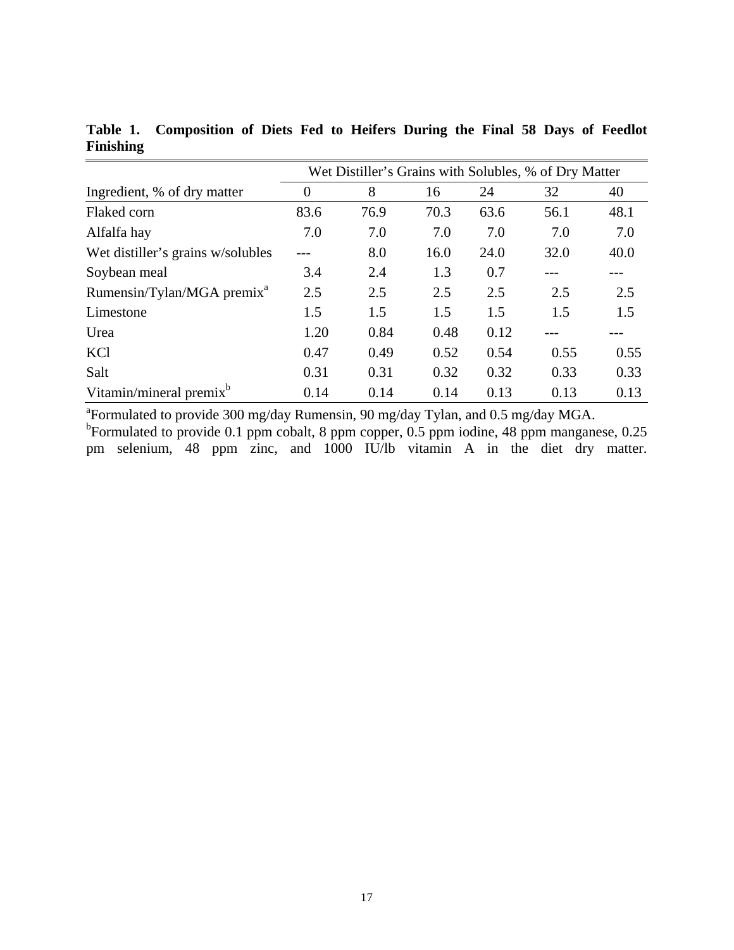|                                        | Wet Distiller's Grains with Solubles, % of Dry Matter |      |      |      |      |      |  |  |  |
|----------------------------------------|-------------------------------------------------------|------|------|------|------|------|--|--|--|
| Ingredient, % of dry matter            | $\theta$                                              | 8    | 16   | 24   | 32   | 40   |  |  |  |
| Flaked corn                            | 83.6                                                  | 76.9 | 70.3 | 63.6 | 56.1 | 48.1 |  |  |  |
| Alfalfa hay                            | 7.0                                                   | 7.0  | 7.0  | 7.0  | 7.0  | 7.0  |  |  |  |
| Wet distiller's grains w/solubles      |                                                       | 8.0  | 16.0 | 24.0 | 32.0 | 40.0 |  |  |  |
| Soybean meal                           | 3.4                                                   | 2.4  | 1.3  | 0.7  |      |      |  |  |  |
| Rumensin/Tylan/MGA premix <sup>a</sup> | 2.5                                                   | 2.5  | 2.5  | 2.5  | 2.5  | 2.5  |  |  |  |
| Limestone                              | 1.5                                                   | 1.5  | 1.5  | 1.5  | 1.5  | 1.5  |  |  |  |
| Urea                                   | 1.20                                                  | 0.84 | 0.48 | 0.12 |      |      |  |  |  |
| KCl                                    | 0.47                                                  | 0.49 | 0.52 | 0.54 | 0.55 | 0.55 |  |  |  |
| Salt                                   | 0.31                                                  | 0.31 | 0.32 | 0.32 | 0.33 | 0.33 |  |  |  |
| Vitamin/mineral premix <sup>b</sup>    | 0.14                                                  | 0.14 | 0.14 | 0.13 | 0.13 | 0.13 |  |  |  |

**Table 1. Composition of Diets Fed to Heifers During the Final 58 Days of Feedlot Finishing** 

<sup>a</sup>Formulated to provide 300 mg/day Rumensin, 90 mg/day Tylan, and 0.5 mg/day MGA. <sup>b</sup>Formulated to provide 0.1 ppm cobalt, 8 ppm copper, 0.5 ppm iodine, 48 ppm manganese, 0.25 pm selenium, 48 ppm zinc, and 1000 IU/lb vitamin A in the diet dry matter.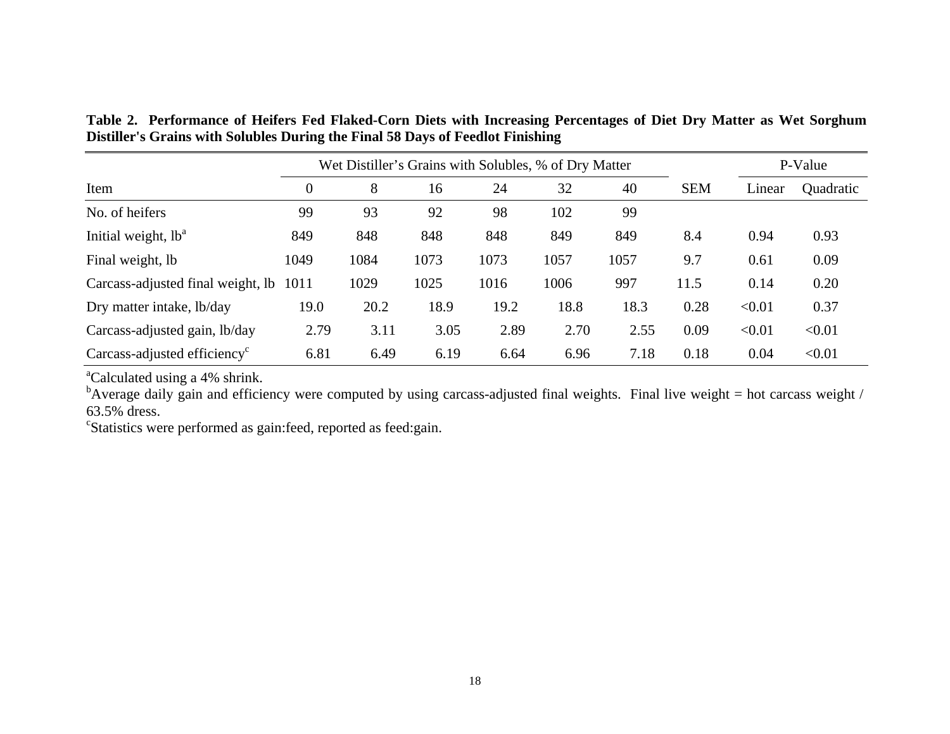**Table 2. Performance of Heifers Fed Flaked-Corn Diets with Increasing Percentages of Diet Dry Matter as Wet Sorghum Distiller's Grains with Solubles During the Final 58 Days of Feedlot Finishing** 

|                                          | Wet Distiller's Grains with Solubles, % of Dry Matter |      |      |      |      |      |            |        | P-Value   |  |
|------------------------------------------|-------------------------------------------------------|------|------|------|------|------|------------|--------|-----------|--|
| Item                                     | $\boldsymbol{0}$                                      | 8    | 16   | 24   | 32   | 40   | <b>SEM</b> | Linear | Quadratic |  |
| No. of heifers                           | 99                                                    | 93   | 92   | 98   | 102  | 99   |            |        |           |  |
| Initial weight, $lb^a$                   | 849                                                   | 848  | 848  | 848  | 849  | 849  | 8.4        | 0.94   | 0.93      |  |
| Final weight, lb                         | 1049                                                  | 1084 | 1073 | 1073 | 1057 | 1057 | 9.7        | 0.61   | 0.09      |  |
| Carcass-adjusted final weight, lb        | 1011                                                  | 1029 | 1025 | 1016 | 1006 | 997  | 11.5       | 0.14   | 0.20      |  |
| Dry matter intake, lb/day                | 19.0                                                  | 20.2 | 18.9 | 19.2 | 18.8 | 18.3 | 0.28       | < 0.01 | 0.37      |  |
| Carcass-adjusted gain, lb/day            | 2.79                                                  | 3.11 | 3.05 | 2.89 | 2.70 | 2.55 | 0.09       | < 0.01 | < 0.01    |  |
| Carcass-adjusted efficiency <sup>c</sup> | 6.81                                                  | 6.49 | 6.19 | 6.64 | 6.96 | 7.18 | 0.18       | 0.04   | < 0.01    |  |

<sup>a</sup>Calculated using a 4% shrink.

 $b$ Average daily gain and efficiency were computed by using carcass-adjusted final weights. Final live weight = hot carcass weight / 63.5% dress.

<sup>c</sup>Statistics were performed as gain:feed, reported as feed:gain.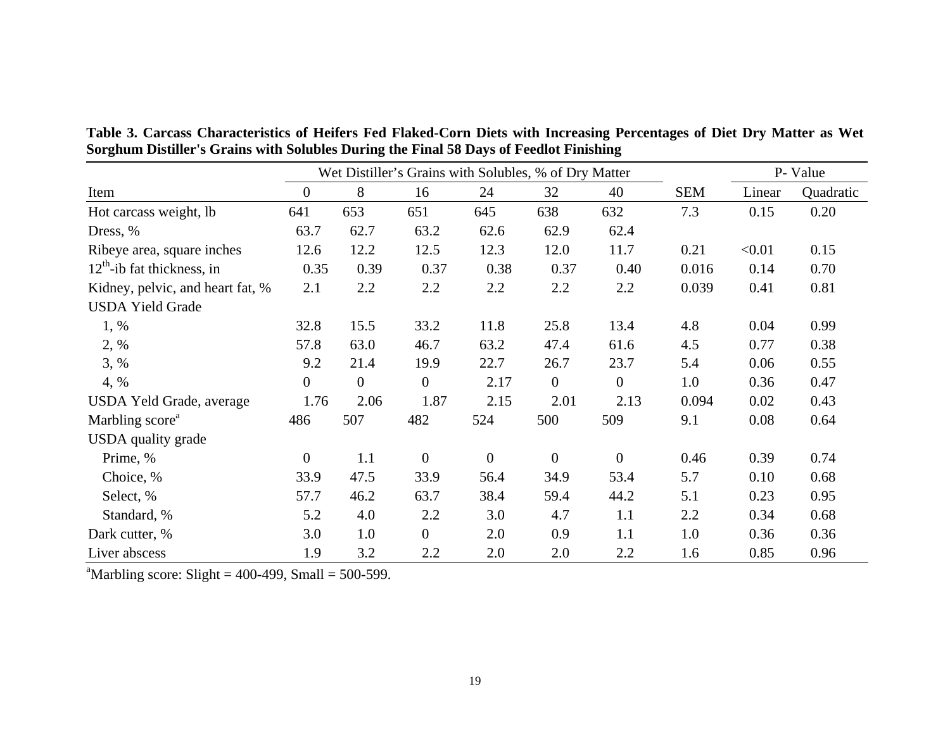**Table 3. Carcass Characteristics of Heifers Fed Flaked-Corn Diets with Increasing Percentages of Diet Dry Matter as Wet Sorghum Distiller's Grains with Solubles During the Final 58 Days of Feedlot Finishing** 

|                                  | Wet Distiller's Grains with Solubles, % of Dry Matter |                |                  |                  |              |                |            | P- Value |           |
|----------------------------------|-------------------------------------------------------|----------------|------------------|------------------|--------------|----------------|------------|----------|-----------|
| Item                             | $\boldsymbol{0}$                                      | $8\,$          | 16               | 24               | 32           | 40             | <b>SEM</b> | Linear   | Quadratic |
| Hot carcass weight, lb           | 641                                                   | 653            | 651              | 645              | 638          | 632            | 7.3        | 0.15     | 0.20      |
| Dress, %                         | 63.7                                                  | 62.7           | 63.2             | 62.6             | 62.9         | 62.4           |            |          |           |
| Ribeye area, square inches       | 12.6                                                  | 12.2           | 12.5             | 12.3             | 12.0         | 11.7           | 0.21       | < 0.01   | 0.15      |
| $12th$ -ib fat thickness, in     | 0.35                                                  | 0.39           | 0.37             | 0.38             | 0.37         | 0.40           | 0.016      | 0.14     | 0.70      |
| Kidney, pelvic, and heart fat, % | 2.1                                                   | 2.2            | 2.2              | 2.2              | 2.2          | 2.2            | 0.039      | 0.41     | 0.81      |
| <b>USDA Yield Grade</b>          |                                                       |                |                  |                  |              |                |            |          |           |
| 1, %                             | 32.8                                                  | 15.5           | 33.2             | 11.8             | 25.8         | 13.4           | 4.8        | 0.04     | 0.99      |
| 2, %                             | 57.8                                                  | 63.0           | 46.7             | 63.2             | 47.4         | 61.6           | 4.5        | 0.77     | 0.38      |
| 3, %                             | 9.2                                                   | 21.4           | 19.9             | 22.7             | 26.7         | 23.7           | 5.4        | 0.06     | 0.55      |
| 4, %                             | $\mathbf{0}$                                          | $\overline{0}$ | $\overline{0}$   | 2.17             | $\mathbf{0}$ | $\overline{0}$ | 1.0        | 0.36     | 0.47      |
| USDA Yeld Grade, average         | 1.76                                                  | 2.06           | 1.87             | 2.15             | 2.01         | 2.13           | 0.094      | 0.02     | 0.43      |
| Marbling score <sup>a</sup>      | 486                                                   | 507            | 482              | 524              | 500          | 509            | 9.1        | 0.08     | 0.64      |
| USDA quality grade               |                                                       |                |                  |                  |              |                |            |          |           |
| Prime, %                         | $\mathbf{0}$                                          | 1.1            | $\boldsymbol{0}$ | $\boldsymbol{0}$ | $\mathbf{0}$ | $\mathbf{0}$   | 0.46       | 0.39     | 0.74      |
| Choice, %                        | 33.9                                                  | 47.5           | 33.9             | 56.4             | 34.9         | 53.4           | 5.7        | 0.10     | 0.68      |
| Select, %                        | 57.7                                                  | 46.2           | 63.7             | 38.4             | 59.4         | 44.2           | 5.1        | 0.23     | 0.95      |
| Standard, %                      | 5.2                                                   | 4.0            | 2.2              | 3.0              | 4.7          | 1.1            | 2.2        | 0.34     | 0.68      |
| Dark cutter, %                   | 3.0                                                   | 1.0            | $\boldsymbol{0}$ | 2.0              | 0.9          | 1.1            | 1.0        | 0.36     | 0.36      |
| Liver abscess                    | 1.9                                                   | 3.2            | 2.2              | 2.0              | 2.0          | 2.2            | 1.6        | 0.85     | 0.96      |

<sup>a</sup>Marbling score: Slight =  $400-499$ , Small =  $500-599$ .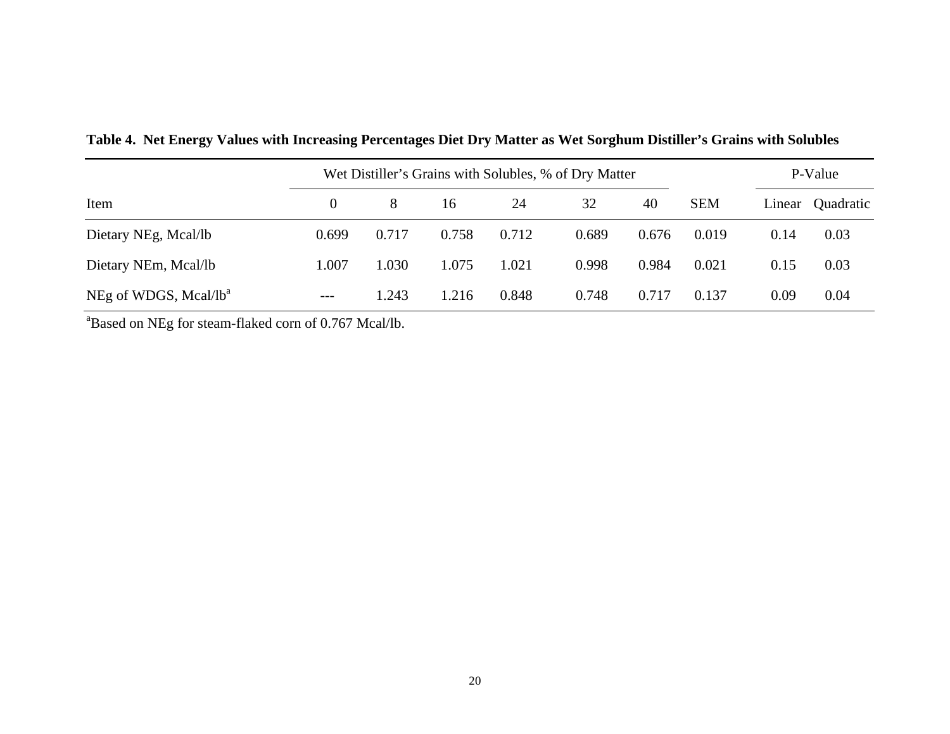|                                   | Wet Distiller's Grains with Solubles, % of Dry Matter |       | P-Value |       |       |       |            |        |           |
|-----------------------------------|-------------------------------------------------------|-------|---------|-------|-------|-------|------------|--------|-----------|
| Item                              | $\Omega$                                              | 8     | 16      | 24    | 32    | 40    | <b>SEM</b> | Linear | Quadratic |
| Dietary NEg, Mcal/lb              | 0.699                                                 | 0.717 | 0.758   | 0.712 | 0.689 | 0.676 | 0.019      | 0.14   | 0.03      |
| Dietary NEm, Mcal/lb              | 1.007                                                 | 1.030 | 1.075   | 1.021 | 0.998 | 0.984 | 0.021      | 0.15   | 0.03      |
| NEg of WDGS, Mcal/lb <sup>a</sup> | $---$                                                 | 1.243 | 1.216   | 0.848 | 0.748 | 0.717 | 0.137      | 0.09   | 0.04      |

**Table 4. Net Energy Values with Increasing Percentages Diet Dry Matter as Wet Sorghum Distiller's Grains with Solubles**

<sup>a</sup>Based on NEg for steam-flaked corn of 0.767 Mcal/lb.